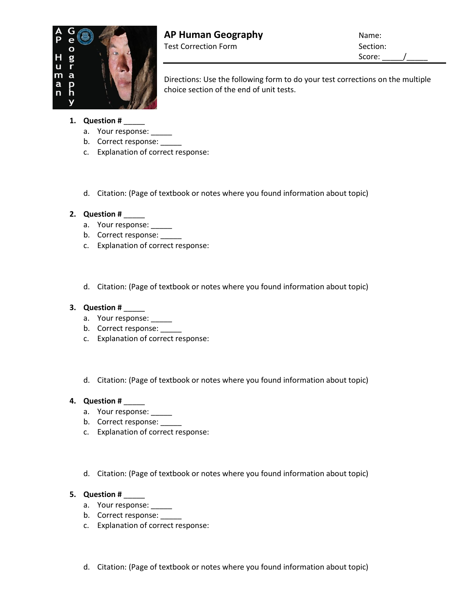

Directions: Use the following form to do your test corrections on the multiple choice section of the end of unit tests.

- **1. Question #** \_\_\_\_\_
	- a. Your response: \_\_\_\_\_
	- b. Correct response:
	- c. Explanation of correct response:
	- d. Citation: (Page of textbook or notes where you found information about topic)

# **2. Question #** \_\_\_\_\_

- a. Your response: \_\_\_\_\_
- b. Correct response:
- c. Explanation of correct response:
- d. Citation: (Page of textbook or notes where you found information about topic)

## **3. Question #** \_\_\_\_\_

- a. Your response: \_\_\_\_\_
- b. Correct response: \_\_\_\_\_
- c. Explanation of correct response:
- d. Citation: (Page of textbook or notes where you found information about topic)

## **4. Question #** \_\_\_\_\_

- a. Your response: \_\_\_\_\_
- b. Correct response: \_\_\_\_\_
- c. Explanation of correct response:
- d. Citation: (Page of textbook or notes where you found information about topic)

## **5. Question #** \_\_\_\_\_

- a. Your response: \_\_\_\_\_
- b. Correct response: \_\_\_\_\_
- c. Explanation of correct response:
- d. Citation: (Page of textbook or notes where you found information about topic)